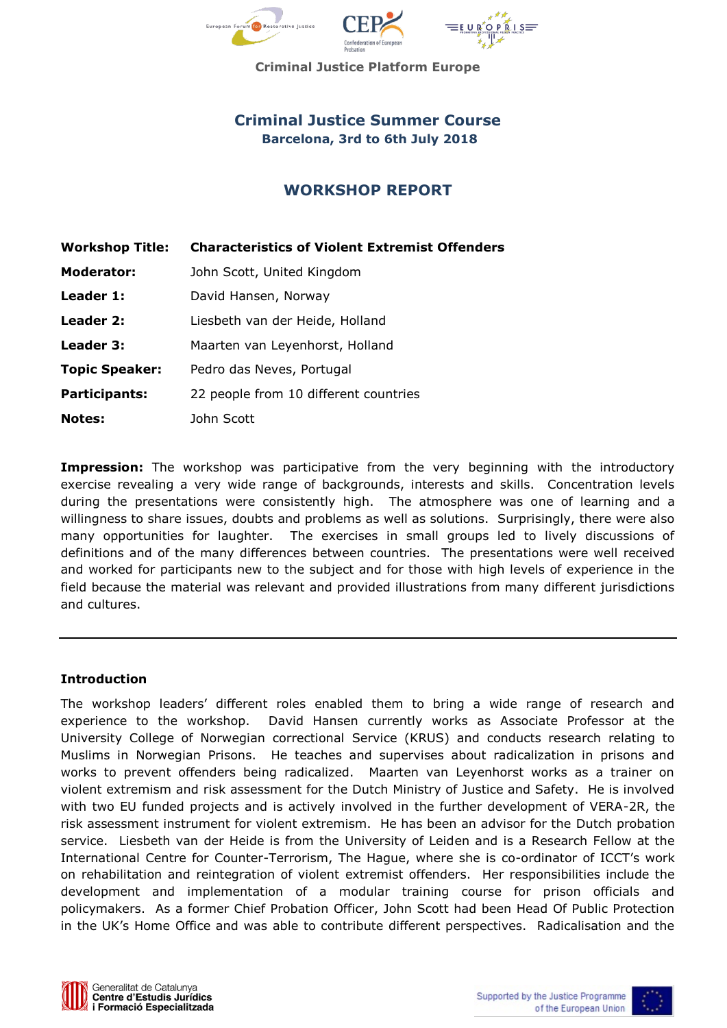

**Criminal Justice Platform Europe**

# **Criminal Justice Summer Course Barcelona, 3rd to 6th July 2018**

# **WORKSHOP REPORT**

| <b>Workshop Title:</b> | <b>Characteristics of Violent Extremist Offenders</b> |
|------------------------|-------------------------------------------------------|
| <b>Moderator:</b>      | John Scott, United Kingdom                            |
| Leader 1:              | David Hansen, Norway                                  |
| Leader 2:              | Liesbeth van der Heide, Holland                       |
| Leader 3:              | Maarten van Leyenhorst, Holland                       |
| <b>Topic Speaker:</b>  | Pedro das Neves, Portugal                             |
| <b>Participants:</b>   | 22 people from 10 different countries                 |
| <b>Notes:</b>          | John Scott                                            |

**Impression:** The workshop was participative from the very beginning with the introductory exercise revealing a very wide range of backgrounds, interests and skills. Concentration levels during the presentations were consistently high. The atmosphere was one of learning and a willingness to share issues, doubts and problems as well as solutions. Surprisingly, there were also many opportunities for laughter. The exercises in small groups led to lively discussions of definitions and of the many differences between countries. The presentations were well received and worked for participants new to the subject and for those with high levels of experience in the field because the material was relevant and provided illustrations from many different jurisdictions and cultures.

## **Introduction**

The workshop leaders' different roles enabled them to bring a wide range of research and experience to the workshop. David Hansen currently works as Associate Professor at the University College of Norwegian correctional Service (KRUS) and conducts research relating to Muslims in Norwegian Prisons. He teaches and supervises about radicalization in prisons and works to prevent offenders being radicalized. Maarten van Leyenhorst works as a trainer on violent extremism and risk assessment for the Dutch Ministry of Justice and Safety. He is involved with two EU funded projects and is actively involved in the further development of VERA-2R, the risk assessment instrument for violent extremism. He has been an advisor for the Dutch probation service. Liesbeth van der Heide is from the University of Leiden and is a Research Fellow at the International Centre for Counter-Terrorism, The Hague, where she is co-ordinator of ICCT's work on rehabilitation and reintegration of violent extremist offenders. Her responsibilities include the development and implementation of a modular training course for prison officials and policymakers. As a former Chief Probation Officer, John Scott had been Head Of Public Protection in the UK's Home Office and was able to contribute different perspectives. Radicalisation and the



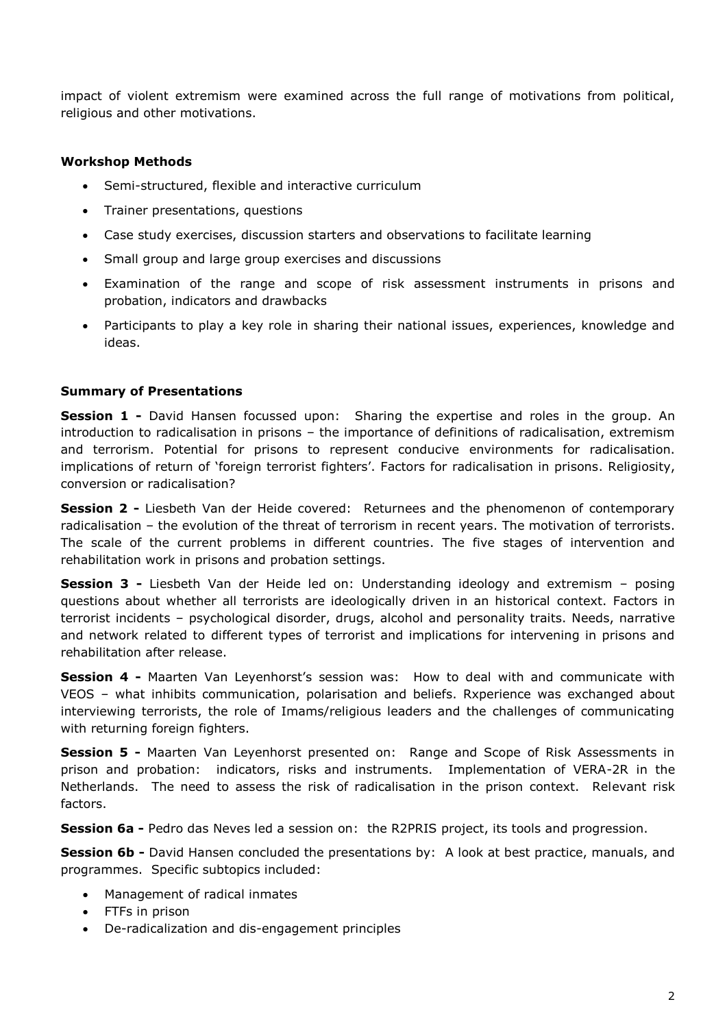impact of violent extremism were examined across the full range of motivations from political, religious and other motivations.

## **Workshop Methods**

- Semi-structured, flexible and interactive curriculum
- Trainer presentations, questions
- Case study exercises, discussion starters and observations to facilitate learning
- Small group and large group exercises and discussions
- Examination of the range and scope of risk assessment instruments in prisons and probation, indicators and drawbacks
- Participants to play a key role in sharing their national issues, experiences, knowledge and ideas.

# **Summary of Presentations**

**Session 1 -** David Hansen focussed upon: Sharing the expertise and roles in the group. An introduction to radicalisation in prisons – the importance of definitions of radicalisation, extremism and terrorism. Potential for prisons to represent conducive environments for radicalisation. implications of return of 'foreign terrorist fighters'. Factors for radicalisation in prisons. Religiosity, conversion or radicalisation?

**Session 2 -** Liesbeth Van der Heide covered: Returnees and the phenomenon of contemporary radicalisation – the evolution of the threat of terrorism in recent years. The motivation of terrorists. The scale of the current problems in different countries. The five stages of intervention and rehabilitation work in prisons and probation settings.

**Session 3 -** Liesbeth Van der Heide led on: Understanding ideology and extremism – posing questions about whether all terrorists are ideologically driven in an historical context. Factors in terrorist incidents – psychological disorder, drugs, alcohol and personality traits. Needs, narrative and network related to different types of terrorist and implications for intervening in prisons and rehabilitation after release.

**Session 4 -** Maarten Van Leyenhorst's session was: How to deal with and communicate with VEOS – what inhibits communication, polarisation and beliefs. Rxperience was exchanged about interviewing terrorists, the role of Imams/religious leaders and the challenges of communicating with returning foreign fighters.

**Session 5 -** Maarten Van Leyenhorst presented on: Range and Scope of Risk Assessments in prison and probation: indicators, risks and instruments. Implementation of VERA-2R in the Netherlands. The need to assess the risk of radicalisation in the prison context. Relevant risk factors.

**Session 6a -** Pedro das Neves led a session on: the R2PRIS project, its tools and progression.

**Session 6b** - David Hansen concluded the presentations by: A look at best practice, manuals, and programmes. Specific subtopics included:

- Management of radical inmates
- FTFs in prison
- De-radicalization and dis-engagement principles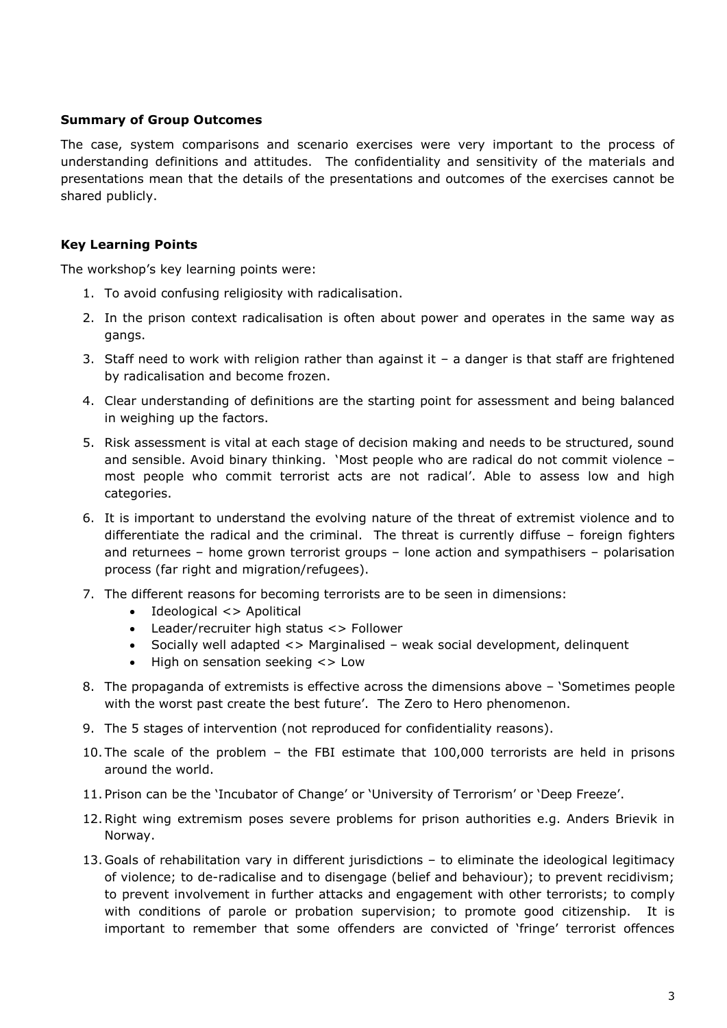## **Summary of Group Outcomes**

The case, system comparisons and scenario exercises were very important to the process of understanding definitions and attitudes. The confidentiality and sensitivity of the materials and presentations mean that the details of the presentations and outcomes of the exercises cannot be shared publicly.

# **Key Learning Points**

The workshop's key learning points were:

- 1. To avoid confusing religiosity with radicalisation.
- 2. In the prison context radicalisation is often about power and operates in the same way as gangs.
- 3. Staff need to work with religion rather than against it a danger is that staff are frightened by radicalisation and become frozen.
- 4. Clear understanding of definitions are the starting point for assessment and being balanced in weighing up the factors.
- 5. Risk assessment is vital at each stage of decision making and needs to be structured, sound and sensible. Avoid binary thinking. 'Most people who are radical do not commit violence – most people who commit terrorist acts are not radical'. Able to assess low and high categories.
- 6. It is important to understand the evolving nature of the threat of extremist violence and to differentiate the radical and the criminal. The threat is currently diffuse – foreign fighters and returnees – home grown terrorist groups – lone action and sympathisers – polarisation process (far right and migration/refugees).
- 7. The different reasons for becoming terrorists are to be seen in dimensions:
	- Ideological <> Apolitical
	- Leader/recruiter high status <> Follower
	- Socially well adapted <> Marginalised weak social development, delinquent
	- High on sensation seeking <> Low
- 8. The propaganda of extremists is effective across the dimensions above 'Sometimes people with the worst past create the best future'. The Zero to Hero phenomenon.
- 9. The 5 stages of intervention (not reproduced for confidentiality reasons).
- 10. The scale of the problem the FBI estimate that 100,000 terrorists are held in prisons around the world.
- 11. Prison can be the 'Incubator of Change' or 'University of Terrorism' or 'Deep Freeze'.
- 12.Right wing extremism poses severe problems for prison authorities e.g. Anders Brievik in Norway.
- 13. Goals of rehabilitation vary in different jurisdictions to eliminate the ideological legitimacy of violence; to de-radicalise and to disengage (belief and behaviour); to prevent recidivism; to prevent involvement in further attacks and engagement with other terrorists; to comply with conditions of parole or probation supervision; to promote good citizenship. It is important to remember that some offenders are convicted of 'fringe' terrorist offences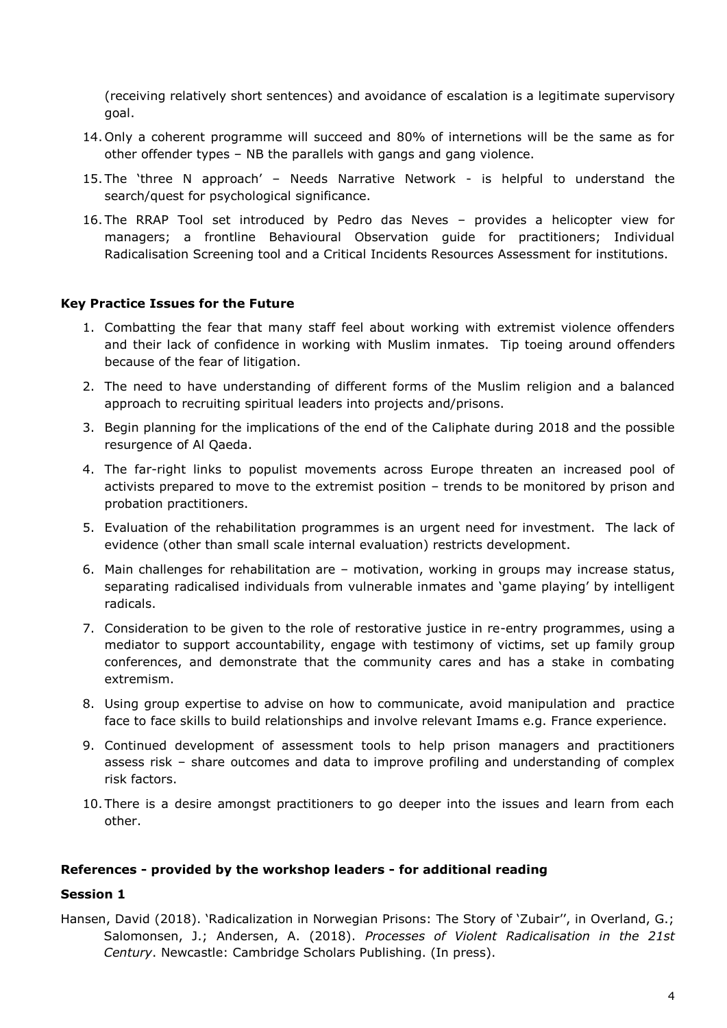(receiving relatively short sentences) and avoidance of escalation is a legitimate supervisory goal.

- 14. Only a coherent programme will succeed and 80% of internetions will be the same as for other offender types – NB the parallels with gangs and gang violence.
- 15. The 'three N approach' Needs Narrative Network is helpful to understand the search/quest for psychological significance.
- 16. The RRAP Tool set introduced by Pedro das Neves provides a helicopter view for managers; a frontline Behavioural Observation guide for practitioners; Individual Radicalisation Screening tool and a Critical Incidents Resources Assessment for institutions.

## **Key Practice Issues for the Future**

- 1. Combatting the fear that many staff feel about working with extremist violence offenders and their lack of confidence in working with Muslim inmates. Tip toeing around offenders because of the fear of litigation.
- 2. The need to have understanding of different forms of the Muslim religion and a balanced approach to recruiting spiritual leaders into projects and/prisons.
- 3. Begin planning for the implications of the end of the Caliphate during 2018 and the possible resurgence of Al Qaeda.
- 4. The far-right links to populist movements across Europe threaten an increased pool of activists prepared to move to the extremist position – trends to be monitored by prison and probation practitioners.
- 5. Evaluation of the rehabilitation programmes is an urgent need for investment. The lack of evidence (other than small scale internal evaluation) restricts development.
- 6. Main challenges for rehabilitation are motivation, working in groups may increase status, separating radicalised individuals from vulnerable inmates and 'game playing' by intelligent radicals.
- 7. Consideration to be given to the role of restorative justice in re-entry programmes, using a mediator to support accountability, engage with testimony of victims, set up family group conferences, and demonstrate that the community cares and has a stake in combating extremism.
- 8. Using group expertise to advise on how to communicate, avoid manipulation and practice face to face skills to build relationships and involve relevant Imams e.g. France experience.
- 9. Continued development of assessment tools to help prison managers and practitioners assess risk – share outcomes and data to improve profiling and understanding of complex risk factors.
- 10. There is a desire amongst practitioners to go deeper into the issues and learn from each other.

#### **References - provided by the workshop leaders - for additional reading**

#### **Session 1**

Hansen, David (2018). 'Radicalization in Norwegian Prisons: The Story of 'Zubair'', in Overland, G.; Salomonsen, J.; Andersen, A. (2018). *Processes of Violent Radicalisation in the 21st Century*. Newcastle: Cambridge Scholars Publishing. (In press).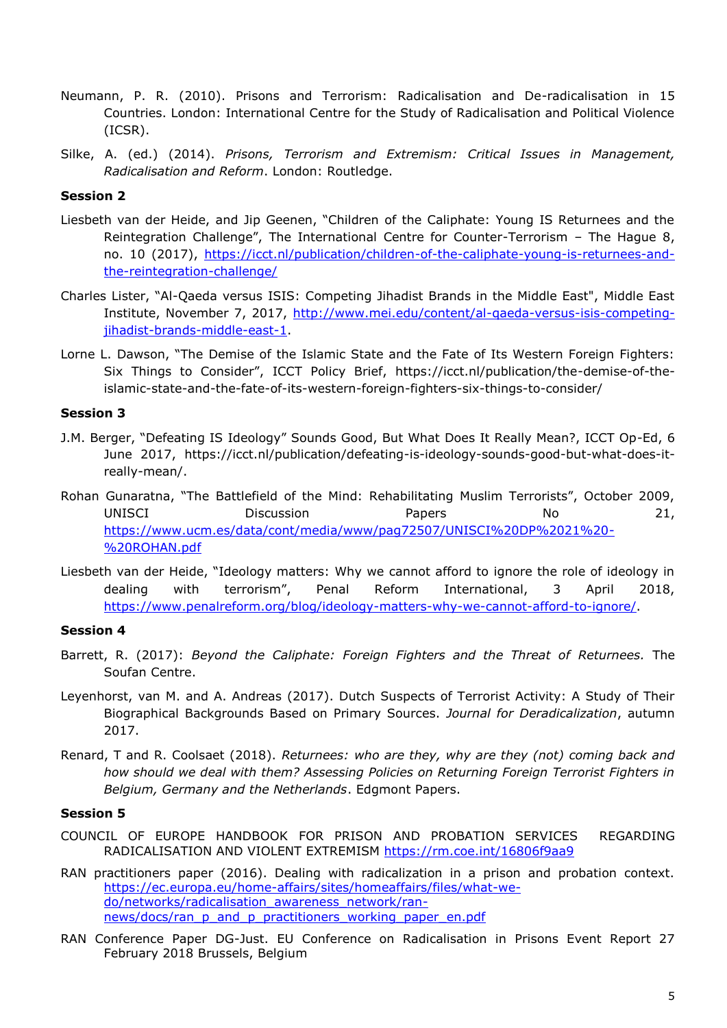- Neumann, P. R. (2010). Prisons and Terrorism: Radicalisation and De-radicalisation in 15 Countries. London: International Centre for the Study of Radicalisation and Political Violence (ICSR).
- Silke, A. (ed.) (2014). *Prisons, Terrorism and Extremism: Critical Issues in Management, Radicalisation and Reform*. London: Routledge.

## **Session 2**

- Liesbeth van der Heide, and Jip Geenen, "Children of the Caliphate: Young IS Returnees and the Reintegration Challenge", The International Centre for Counter-Terrorism – The Hague 8, no. 10 (2017), [https://icct.nl/publication/children-of-the-caliphate-young-is-returnees-and](https://icct.nl/publication/children-of-the-caliphate-young-is-returnees-and-the-reintegration-challenge/)[the-reintegration-challenge/](https://icct.nl/publication/children-of-the-caliphate-young-is-returnees-and-the-reintegration-challenge/)
- Charles Lister, "Al-Qaeda versus ISIS: Competing Jihadist Brands in the Middle East", Middle East Institute, November 7, 2017, [http://www.mei.edu/content/al-qaeda-versus-isis-competing](http://www.mei.edu/content/al-qaeda-versus-isis-competing-jihadist-brands-middle-east-1)[jihadist-brands-middle-east-1.](http://www.mei.edu/content/al-qaeda-versus-isis-competing-jihadist-brands-middle-east-1)
- Lorne L. Dawson, "The Demise of the Islamic State and the Fate of Its Western Foreign Fighters: Six Things to Consider", ICCT Policy Brief, https://icct.nl/publication/the-demise-of-theislamic-state-and-the-fate-of-its-western-foreign-fighters-six-things-to-consider/

### **Session 3**

- J.M. Berger, "Defeating IS Ideology" Sounds Good, But What Does It Really Mean?, ICCT Op-Ed, 6 June 2017, https://icct.nl/publication/defeating-is-ideology-sounds-good-but-what-does-itreally-mean/.
- Rohan Gunaratna, "The Battlefield of the Mind: Rehabilitating Muslim Terrorists", October 2009, UNISCI Discussion Papers No 21, [https://www.ucm.es/data/cont/media/www/pag72507/UNISCI%20DP%2021%20-](https://www.ucm.es/data/cont/media/www/pag72507/UNISCI%20DP%2021%20-%20ROHAN.pdf) [%20ROHAN.pdf](https://www.ucm.es/data/cont/media/www/pag72507/UNISCI%20DP%2021%20-%20ROHAN.pdf)
- Liesbeth van der Heide, "Ideology matters: Why we cannot afford to ignore the role of ideology in dealing with terrorism", Penal Reform International, 3 April 2018, [https://www.penalreform.org/blog/ideology-matters-why-we-cannot-afford-to-ignore/.](https://www.penalreform.org/blog/ideology-matters-why-we-cannot-afford-to-ignore/)

## **Session 4**

- Barrett, R. (2017): *Beyond the Caliphate: Foreign Fighters and the Threat of Returnees.* The Soufan Centre.
- Leyenhorst, van M. and A. Andreas (2017). Dutch Suspects of Terrorist Activity: A Study of Their Biographical Backgrounds Based on Primary Sources. *Journal for Deradicalization*, autumn 2017.
- Renard, T and R. Coolsaet (2018). *Returnees: who are they, why are they (not) coming back and how should we deal with them? Assessing Policies on Returning Foreign Terrorist Fighters in Belgium, Germany and the Netherlands*. Edgmont Papers.

#### **Session 5**

- COUNCIL OF EUROPE HANDBOOK FOR PRISON AND PROBATION SERVICES REGARDING RADICALISATION AND VIOLENT EXTREMISM<https://rm.coe.int/16806f9aa9>
- RAN practitioners paper (2016). Dealing with radicalization in a prison and probation context. [https://ec.europa.eu/home-affairs/sites/homeaffairs/files/what-we](https://ec.europa.eu/home-affairs/sites/homeaffairs/files/what-we-do/networks/radicalisation_awareness_network/ran-news/docs/ran_p_and_p_practitioners_working_paper_en.pdf)[do/networks/radicalisation\\_awareness\\_network/ran](https://ec.europa.eu/home-affairs/sites/homeaffairs/files/what-we-do/networks/radicalisation_awareness_network/ran-news/docs/ran_p_and_p_practitioners_working_paper_en.pdf)[news/docs/ran\\_p\\_and\\_p\\_practitioners\\_working\\_paper\\_en.pdf](https://ec.europa.eu/home-affairs/sites/homeaffairs/files/what-we-do/networks/radicalisation_awareness_network/ran-news/docs/ran_p_and_p_practitioners_working_paper_en.pdf)
- RAN Conference Paper DG-Just. EU Conference on Radicalisation in Prisons Event Report 27 February 2018 Brussels, Belgium